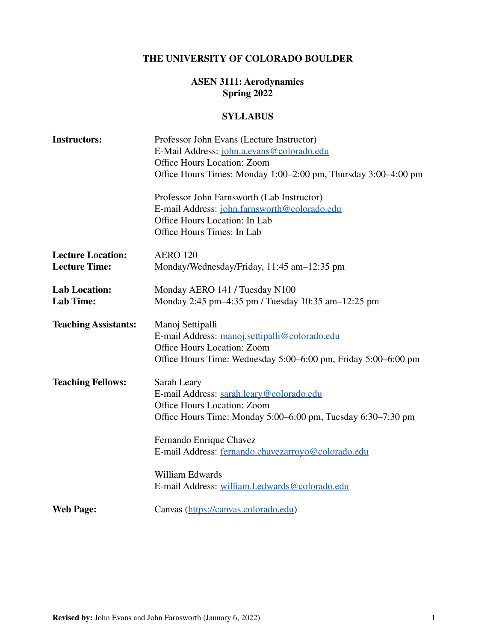## **THE UNIVERSITY OF COLORADO BOULDER**

# **ASEN 3111: Aerodynamics Spring 2022**

## **SYLLABUS**

| <b>Instructors:</b>         | Professor John Evans (Lecture Instructor)<br>E-Mail Address: john.a.evans@colorado.edu |  |
|-----------------------------|----------------------------------------------------------------------------------------|--|
|                             |                                                                                        |  |
|                             | Office Hours Location: Zoom                                                            |  |
|                             | Office Hours Times: Monday 1:00–2:00 pm, Thursday 3:00–4:00 pm                         |  |
|                             | Professor John Farnsworth (Lab Instructor)                                             |  |
|                             | E-mail Address: john.farnsworth@colorado.edu                                           |  |
|                             | Office Hours Location: In Lab                                                          |  |
|                             | Office Hours Times: In Lab                                                             |  |
| <b>Lecture Location:</b>    | <b>AERO 120</b>                                                                        |  |
| <b>Lecture Time:</b>        | Monday/Wednesday/Friday, 11:45 am-12:35 pm                                             |  |
| <b>Lab Location:</b>        | Monday AERO 141 / Tuesday N100                                                         |  |
| <b>Lab Time:</b>            | Monday 2:45 pm-4:35 pm / Tuesday 10:35 am-12:25 pm                                     |  |
| <b>Teaching Assistants:</b> | Manoj Settipalli                                                                       |  |
|                             | E-mail Address: manoj.settipalli@colorado.edu                                          |  |
|                             | Office Hours Location: Zoom                                                            |  |
|                             | Office Hours Time: Wednesday 5:00–6:00 pm, Friday 5:00–6:00 pm                         |  |
| <b>Teaching Fellows:</b>    | Sarah Leary                                                                            |  |
|                             | E-mail Address: sarah.leary@colorado.edu                                               |  |
|                             | Office Hours Location: Zoom                                                            |  |
|                             | Office Hours Time: Monday 5:00-6:00 pm, Tuesday 6:30-7:30 pm                           |  |
|                             | Fernando Enrique Chavez                                                                |  |
|                             | E-mail Address: fernando.chavezarroyo@colorado.edu                                     |  |
|                             | William Edwards                                                                        |  |
|                             | E-mail Address: william.l.edwards@colorado.edu                                         |  |
| <b>Web Page:</b>            | Canvas (https://canvas.colorado.edu)                                                   |  |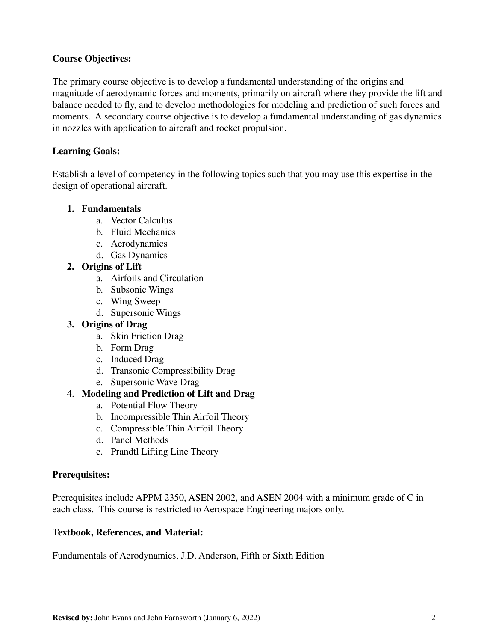## **Course Objectives:**

The primary course objective is to develop a fundamental understanding of the origins and magnitude of aerodynamic forces and moments, primarily on aircraft where they provide the lift and balance needed to fly, and to develop methodologies for modeling and prediction of such forces and moments. A secondary course objective is to develop a fundamental understanding of gas dynamics in nozzles with application to aircraft and rocket propulsion.

## **Learning Goals:**

Establish a level of competency in the following topics such that you may use this expertise in the design of operational aircraft.

### **1. Fundamentals**

- a. Vector Calculus
- b. Fluid Mechanics
- c. Aerodynamics
- d. Gas Dynamics

### **2. Origins of Lift**

- a. Airfoils and Circulation
- b. Subsonic Wings
- c. Wing Sweep
- d. Supersonic Wings

# **3. Origins of Drag**

- a. Skin Friction Drag
- b. Form Drag
- c. Induced Drag
- d. Transonic Compressibility Drag
- e. Supersonic Wave Drag

# 4. **Modeling and Prediction of Lift and Drag**

- a. Potential Flow Theory
- b. Incompressible Thin Airfoil Theory
- c. Compressible Thin Airfoil Theory
- d. Panel Methods
- e. Prandtl Lifting Line Theory

### **Prerequisites:**

Prerequisites include APPM 2350, ASEN 2002, and ASEN 2004 with a minimum grade of C in each class. This course is restricted to Aerospace Engineering majors only.

### **Textbook, References, and Material:**

Fundamentals of Aerodynamics, J.D. Anderson, Fifth or Sixth Edition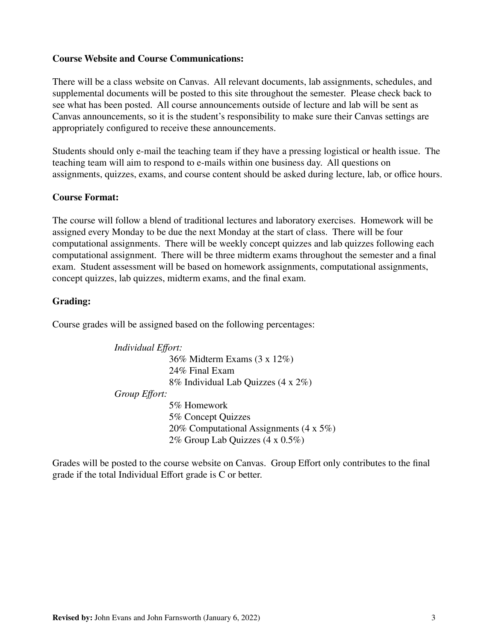#### **Course Website and Course Communications:**

There will be a class website on Canvas. All relevant documents, lab assignments, schedules, and supplemental documents will be posted to this site throughout the semester. Please check back to see what has been posted. All course announcements outside of lecture and lab will be sent as Canvas announcements, so it is the student's responsibility to make sure their Canvas settings are appropriately configured to receive these announcements.

Students should only e-mail the teaching team if they have a pressing logistical or health issue. The teaching team will aim to respond to e-mails within one business day. All questions on assignments, quizzes, exams, and course content should be asked during lecture, lab, or office hours.

#### **Course Format:**

The course will follow a blend of traditional lectures and laboratory exercises. Homework will be assigned every Monday to be due the next Monday at the start of class. There will be four computational assignments. There will be weekly concept quizzes and lab quizzes following each computational assignment. There will be three midterm exams throughout the semester and a final exam. Student assessment will be based on homework assignments, computational assignments, concept quizzes, lab quizzes, midterm exams, and the final exam.

#### **Grading:**

Course grades will be assigned based on the following percentages:

*Individual Effort:* 36% Midterm Exams (3 x 12%) 24% Final Exam 8% Individual Lab Quizzes (4 x 2%) *Group Effort:* 5% Homework 5% Concept Quizzes 20% Computational Assignments (4 x 5%) 2% Group Lab Quizzes (4 x 0.5%)

Grades will be posted to the course website on Canvas. Group Effort only contributes to the final grade if the total Individual Effort grade is C or better.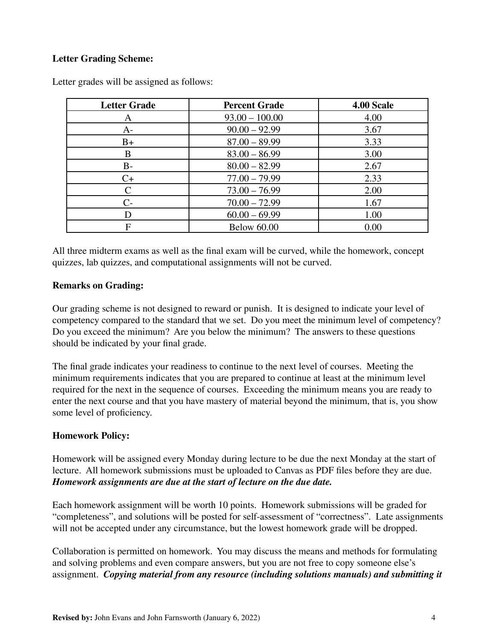## **Letter Grading Scheme:**

| <b>Letter Grade</b> | <b>Percent Grade</b> | 4.00 Scale |
|---------------------|----------------------|------------|
| A                   | $93.00 - 100.00$     | 4.00       |
| $A-$                | $90.00 - 92.99$      | 3.67       |
| $B+$                | $87.00 - 89.99$      | 3.33       |
| B                   | $83.00 - 86.99$      | 3.00       |
| $B-$                | $80.00 - 82.99$      | 2.67       |
| $C+$                | $77.00 - 79.99$      | 2.33       |
| $\subset$           | $73.00 - 76.99$      | 2.00       |
| $C$ -               | $70.00 - 72.99$      | 1.67       |
|                     | $60.00 - 69.99$      | 1.00       |
| F                   | <b>Below 60.00</b>   | 0.00       |

Letter grades will be assigned as follows:

All three midterm exams as well as the final exam will be curved, while the homework, concept quizzes, lab quizzes, and computational assignments will not be curved.

#### **Remarks on Grading:**

Our grading scheme is not designed to reward or punish. It is designed to indicate your level of competency compared to the standard that we set. Do you meet the minimum level of competency? Do you exceed the minimum? Are you below the minimum? The answers to these questions should be indicated by your final grade.

The final grade indicates your readiness to continue to the next level of courses. Meeting the minimum requirements indicates that you are prepared to continue at least at the minimum level required for the next in the sequence of courses. Exceeding the minimum means you are ready to enter the next course and that you have mastery of material beyond the minimum, that is, you show some level of proficiency.

### **Homework Policy:**

Homework will be assigned every Monday during lecture to be due the next Monday at the start of lecture. All homework submissions must be uploaded to Canvas as PDF files before they are due. *Homework assignments are due at the start of lecture on the due date.*

Each homework assignment will be worth 10 points. Homework submissions will be graded for "completeness", and solutions will be posted for self-assessment of "correctness". Late assignments will not be accepted under any circumstance, but the lowest homework grade will be dropped.

Collaboration is permitted on homework. You may discuss the means and methods for formulating and solving problems and even compare answers, but you are not free to copy someone else's assignment. *Copying material from any resource (including solutions manuals) and submitting it*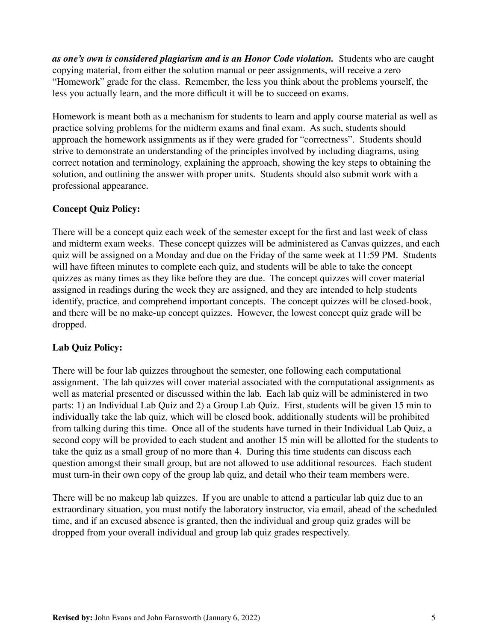*as one's own is considered plagiarism and is an Honor Code violation.* Students who are caught copying material, from either the solution manual or peer assignments, will receive a zero "Homework" grade for the class. Remember, the less you think about the problems yourself, the less you actually learn, and the more difficult it will be to succeed on exams.

Homework is meant both as a mechanism for students to learn and apply course material as well as practice solving problems for the midterm exams and final exam. As such, students should approach the homework assignments as if they were graded for "correctness". Students should strive to demonstrate an understanding of the principles involved by including diagrams, using correct notation and terminology, explaining the approach, showing the key steps to obtaining the solution, and outlining the answer with proper units. Students should also submit work with a professional appearance.

## **Concept Quiz Policy:**

There will be a concept quiz each week of the semester except for the first and last week of class and midterm exam weeks. These concept quizzes will be administered as Canvas quizzes, and each quiz will be assigned on a Monday and due on the Friday of the same week at 11:59 PM. Students will have fifteen minutes to complete each quiz, and students will be able to take the concept quizzes as many times as they like before they are due. The concept quizzes will cover material assigned in readings during the week they are assigned, and they are intended to help students identify, practice, and comprehend important concepts. The concept quizzes will be closed-book, and there will be no make-up concept quizzes. However, the lowest concept quiz grade will be dropped.

# **Lab Quiz Policy:**

There will be four lab quizzes throughout the semester, one following each computational assignment. The lab quizzes will cover material associated with the computational assignments as well as material presented or discussed within the lab. Each lab quiz will be administered in two parts: 1) an Individual Lab Quiz and 2) a Group Lab Quiz. First, students will be given 15 min to individually take the lab quiz, which will be closed book, additionally students will be prohibited from talking during this time. Once all of the students have turned in their Individual Lab Quiz, a second copy will be provided to each student and another 15 min will be allotted for the students to take the quiz as a small group of no more than 4. During this time students can discuss each question amongst their small group, but are not allowed to use additional resources. Each student must turn-in their own copy of the group lab quiz, and detail who their team members were.

There will be no makeup lab quizzes. If you are unable to attend a particular lab quiz due to an extraordinary situation, you must notify the laboratory instructor, via email, ahead of the scheduled time, and if an excused absence is granted, then the individual and group quiz grades will be dropped from your overall individual and group lab quiz grades respectively.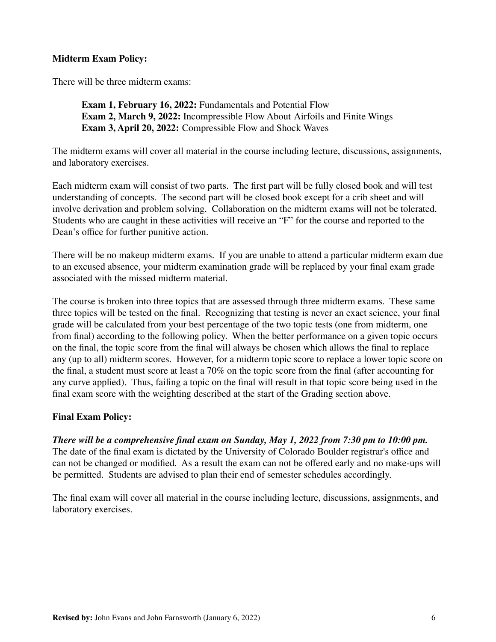### **Midterm Exam Policy:**

There will be three midterm exams:

**Exam 1, February 16, 2022:** Fundamentals and Potential Flow **Exam 2, March 9, 2022:** Incompressible Flow About Airfoils and Finite Wings **Exam 3, April 20, 2022:** Compressible Flow and Shock Waves

The midterm exams will cover all material in the course including lecture, discussions, assignments, and laboratory exercises.

Each midterm exam will consist of two parts. The first part will be fully closed book and will test understanding of concepts. The second part will be closed book except for a crib sheet and will involve derivation and problem solving. Collaboration on the midterm exams will not be tolerated. Students who are caught in these activities will receive an "F" for the course and reported to the Dean's office for further punitive action.

There will be no makeup midterm exams. If you are unable to attend a particular midterm exam due to an excused absence, your midterm examination grade will be replaced by your final exam grade associated with the missed midterm material.

The course is broken into three topics that are assessed through three midterm exams. These same three topics will be tested on the final. Recognizing that testing is never an exact science, your final grade will be calculated from your best percentage of the two topic tests (one from midterm, one from final) according to the following policy. When the better performance on a given topic occurs on the final, the topic score from the final will always be chosen which allows the final to replace any (up to all) midterm scores. However, for a midterm topic score to replace a lower topic score on the final, a student must score at least a 70% on the topic score from the final (after accounting for any curve applied). Thus, failing a topic on the final will result in that topic score being used in the final exam score with the weighting described at the start of the Grading section above.

### **Final Exam Policy:**

*There will be a comprehensive final exam on Sunday, May 1, 2022 from 7:30 pm to 10:00 pm.* The date of the final exam is dictated by the University of Colorado Boulder registrar's office and can not be changed or modified. As a result the exam can not be offered early and no make-ups will be permitted. Students are advised to plan their end of semester schedules accordingly.

The final exam will cover all material in the course including lecture, discussions, assignments, and laboratory exercises.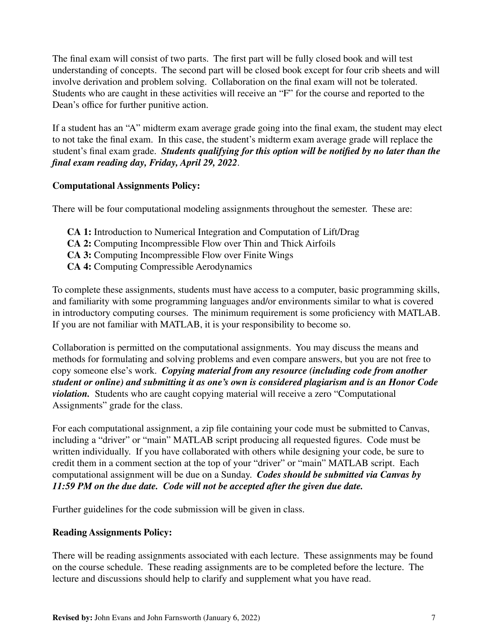The final exam will consist of two parts. The first part will be fully closed book and will test understanding of concepts. The second part will be closed book except for four crib sheets and will involve derivation and problem solving. Collaboration on the final exam will not be tolerated. Students who are caught in these activities will receive an "F" for the course and reported to the Dean's office for further punitive action.

If a student has an "A" midterm exam average grade going into the final exam, the student may elect to not take the final exam. In this case, the student's midterm exam average grade will replace the student's final exam grade. *Students qualifying for this option will be notified by no later than the final exam reading day, Friday, April 29, 2022.*

## **Computational Assignments Policy:**

There will be four computational modeling assignments throughout the semester. These are:

- **CA 1:** Introduction to Numerical Integration and Computation of Lift/Drag **CA 2:** Computing Incompressible Flow over Thin and Thick Airfoils **CA 3:** Computing Incompressible Flow over Finite Wings
- **CA 4:** Computing Compressible Aerodynamics

To complete these assignments, students must have access to a computer, basic programming skills, and familiarity with some programming languages and/or environments similar to what is covered in introductory computing courses. The minimum requirement is some proficiency with MATLAB. If you are not familiar with MATLAB, it is your responsibility to become so.

Collaboration is permitted on the computational assignments. You may discuss the means and methods for formulating and solving problems and even compare answers, but you are not free to copy someone else's work. *Copying material from any resource (including code from another student or online) and submitting it as one's own is considered plagiarism and is an Honor Code violation.* Students who are caught copying material will receive a zero "Computational Assignments" grade for the class.

For each computational assignment, a zip file containing your code must be submitted to Canvas, including a "driver" or "main" MATLAB script producing all requested figures. Code must be written individually. If you have collaborated with others while designing your code, be sure to credit them in a comment section at the top of your "driver" or "main" MATLAB script. Each computational assignment will be due on a Sunday. *Codes should be submitted via Canvas by 11:59 PM on the due date. Code will not be accepted after the given due date.*

Further guidelines for the code submission will be given in class.

### **Reading Assignments Policy:**

There will be reading assignments associated with each lecture. These assignments may be found on the course schedule. These reading assignments are to be completed before the lecture. The lecture and discussions should help to clarify and supplement what you have read.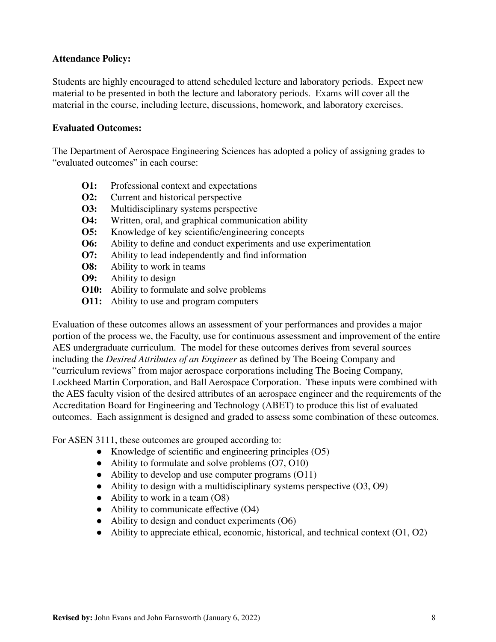### **Attendance Policy:**

Students are highly encouraged to attend scheduled lecture and laboratory periods. Expect new material to be presented in both the lecture and laboratory periods. Exams will cover all the material in the course, including lecture, discussions, homework, and laboratory exercises.

#### **Evaluated Outcomes:**

The Department of Aerospace Engineering Sciences has adopted a policy of assigning grades to "evaluated outcomes" in each course:

- **O1:** Professional context and expectations
- **O2:** Current and historical perspective
- **O3:** Multidisciplinary systems perspective
- **O4:** Written, oral, and graphical communication ability
- **O5:** Knowledge of key scientific/engineering concepts
- **O6:** Ability to define and conduct experiments and use experimentation
- **O7:** Ability to lead independently and find information
- **O8:** Ability to work in teams
- **O9:** Ability to design
- **O10:** Ability to formulate and solve problems
- **O11:** Ability to use and program computers

Evaluation of these outcomes allows an assessment of your performances and provides a major portion of the process we, the Faculty, use for continuous assessment and improvement of the entire AES undergraduate curriculum. The model for these outcomes derives from several sources including the *Desired Attributes of an Engineer* as defined by The Boeing Company and "curriculum reviews" from major aerospace corporations including The Boeing Company, Lockheed Martin Corporation, and Ball Aerospace Corporation. These inputs were combined with the AES faculty vision of the desired attributes of an aerospace engineer and the requirements of the Accreditation Board for Engineering and Technology (ABET) to produce this list of evaluated outcomes. Each assignment is designed and graded to assess some combination of these outcomes.

For ASEN 3111, these outcomes are grouped according to:

- Knowledge of scientific and engineering principles (O5)
- Ability to formulate and solve problems  $(07, 010)$
- Ability to develop and use computer programs (O11)
- $\bullet$  Ability to design with a multidisciplinary systems perspective  $(O3, O9)$
- $\bullet$  Ability to work in a team  $(O8)$
- Ability to communicate effective (O4)
- Ability to design and conduct experiments (O6)
- $\bullet$  Ability to appreciate ethical, economic, historical, and technical context (O1, O2)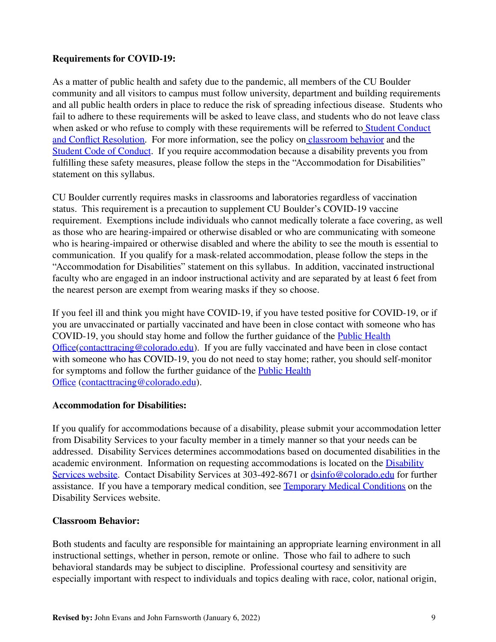### **Requirements for COVID-19:**

As a matter of public health and safety due to the pandemic, all members of the CU Boulder community and all visitors to campus must follow university, department and building requirements and all public health orders in place to reduce the risk of spreading infectious disease. Students who fail to adhere to these requirements will be asked to leave class, and students who do not leave class when asked or who refuse to comply with these requirements wil[l](https://www.colorado.edu/policies/covid-19-health-and-safety-policy) be referred to Student [Conduct](https://www.colorado.edu/sccr/) and Conflict [Resolution.](https://www.colorado.edu/sccr/) For more information, see the policy on [classroom](http://www.colorado.edu/policies/student-classroom-and-course-related-behavior) behavior and th[e](http://www.colorado.edu/osccr/) Student Code of [Conduct](http://www.colorado.edu/osccr/). If you require accommodation because a disability prevents you from fulfilling these safety measures, please follow the steps in the "Accommodation for Disabilities" statement on this syllabus.

CU Boulder currently requires masks in classrooms and laboratories regardless of vaccination status. This requirement is a precaution to supplement CU Boulder's COVID-19 vaccine requirement. Exemptions include individuals who cannot medically tolerate a face covering, as well as those who are hearing-impaired or otherwise disabled or who are communicating with someone who is hearing-impaired or otherwise disabled and where the ability to see the mouth is essential to communication. If you qualify for a mask-related accommodation, please follow the steps in the "Accommodation for Disabilities" statement on this syllabus. In addition, vaccinated instructional faculty who are engaged in an indoor instructional activity and are separated by at least 6 feet from the nearest person are exempt from wearing masks if they so choose.

If you feel ill and think you might have COVID-19, if you have tested positive for COVID-19, or if you are unvaccinated or partially vaccinated and have been in close contact with someone who has COVID-19, you should stay home and follow the further guidance of the Public [Health](https://www.colorado.edu/health/public-health/quarantine-and-isolation) [Office\(](https://www.colorado.edu/health/public-health/quarantine-and-isolation)[contacttracing@colorado.edu](mailto:contacttracing@colorado.edu)). If you are fully vaccinated and have been in close contact with someone who has COVID-19, you do not need to stay home; rather, you should self-monitor for symptoms and follow the further guidance of the Public [Health](https://www.colorado.edu/health/public-health/quarantine-and-isolation) [Office](https://www.colorado.edu/health/public-health/quarantine-and-isolation) ([contacttracing@colorado.edu](mailto:contacttracing@colorado.edu)).

#### **Accommodation for Disabilities:**

If you qualify for accommodations because of a disability, please submit your accommodation letter from Disability Services to your faculty member in a timely manner so that your needs can be addressed. Disability Services determines accommodations based on documented disabilities in the academic environment. Information on requesting accommodations is located on the **[Disability](https://www.colorado.edu/disabilityservices/)** [Services](https://www.colorado.edu/disabilityservices/) website. Contact Disability Services at 303-492-8671 or [dsinfo@colorado.edu](mailto:dsinfo@colorado.edu) for further assistance. If you have a temporary medical condition, see Temporary Medical [Conditions](http://www.colorado.edu/disabilityservices/students/temporary-medical-conditions) on the Disability Services website.

### **Classroom Behavior:**

Both students and faculty are responsible for maintaining an appropriate learning environment in all instructional settings, whether in person, remote or online. Those who fail to adhere to such behavioral standards may be subject to discipline. Professional courtesy and sensitivity are especially important with respect to individuals and topics dealing with race, color, national origin,